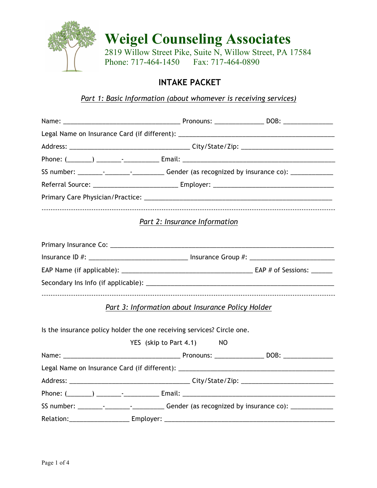

**Weigel Counseling Associates** 2819 Willow Street Pike, Suite N, Willow Street, PA 17584

Phone: 717-464-1450 Fax: 717-464-0890

## **INTAKE PACKET**

*Part 1: Basic Information (about whomever is receiving services)*

|                                                                                                     | Part 2: Insurance Information                     |  |
|-----------------------------------------------------------------------------------------------------|---------------------------------------------------|--|
|                                                                                                     |                                                   |  |
| Insurance ID #: ________________________________ Insurance Group #: _______________________________ |                                                   |  |
|                                                                                                     |                                                   |  |
|                                                                                                     |                                                   |  |
|                                                                                                     | Part 3: Information about Insurance Policy Holder |  |
| Is the insurance policy holder the one receiving services? Circle one.                              |                                                   |  |
|                                                                                                     | YES (skip to Part 4.1) NO                         |  |
|                                                                                                     |                                                   |  |
|                                                                                                     |                                                   |  |
|                                                                                                     |                                                   |  |
|                                                                                                     |                                                   |  |
| SS number: ___________________________________Gender (as recognized by insurance co): _____________ |                                                   |  |
|                                                                                                     |                                                   |  |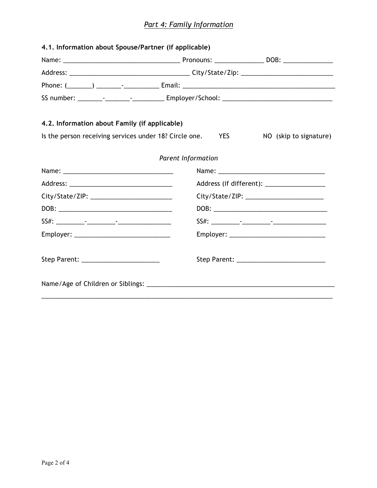## *Part 4: Family Information*

| 4.2. Information about Family (if applicable) |                                                               |                        |  |  |
|-----------------------------------------------|---------------------------------------------------------------|------------------------|--|--|
|                                               | Is the person receiving services under 18? Circle one.<br>YES | NO (skip to signature) |  |  |
|                                               | Parent Information                                            |                        |  |  |
|                                               |                                                               |                        |  |  |
|                                               |                                                               |                        |  |  |
|                                               |                                                               |                        |  |  |
|                                               |                                                               |                        |  |  |
|                                               |                                                               |                        |  |  |
|                                               |                                                               |                        |  |  |
|                                               |                                                               |                        |  |  |
| Step Parent: New York Step Parent:            |                                                               |                        |  |  |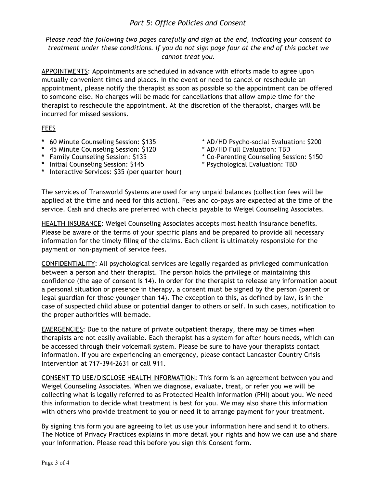## *Part 5: Office Policies and Consent*

*Please read the following two pages carefully and sign at the end, indicating your consent to treatment under these conditions. If you do not sign page four at the end of this packet we cannot treat you.*

APPOINTMENTS: Appointments are scheduled in advance with efforts made to agree upon mutually convenient times and places. In the event or need to cancel or reschedule an appointment, please notify the therapist as soon as possible so the appointment can be offered to someone else. No charges will be made for cancellations that allow ample time for the therapist to reschedule the appointment. At the discretion of the therapist, charges will be incurred for missed sessions.

## FEES

- 
- **\*** 45 Minute Counseling Session: \$120<br>**\*** Family Counseling Session: \$135
- 
- **\*** Initial Counseling Session: \$145 \* Psychological Evaluation: TBD
- **\*** Interactive Services: \$35 (per quarter hour)
- **\*** 60 Minute Counseling Session: \$135 \* AD/HD Psycho-social Evaluation: \$200
	-
	- **\*** Family Counseling Session: \$135 \* Co-Parenting Counseling Session: \$150
	-

The services of Transworld Systems are used for any unpaid balances (collection fees will be applied at the time and need for this action). Fees and co-pays are expected at the time of the service. Cash and checks are preferred with checks payable to Weigel Counseling Associates.

HEALTH INSURANCE: Weigel Counseling Associates accepts most health insurance benefits. Please be aware of the terms of your specific plans and be prepared to provide all necessary information for the timely filing of the claims. Each client is ultimately responsible for the payment or non-payment of service fees.

CONFIDENTIALITY: All psychological services are legally regarded as privileged communication between a person and their therapist. The person holds the privilege of maintaining this confidence (the age of consent is 14). In order for the therapist to release any information about a personal situation or presence in therapy, a consent must be signed by the person (parent or legal guardian for those younger than 14). The exception to this, as defined by law, is in the case of suspected child abuse or potential danger to others or self. In such cases, notification to the proper authorities will bemade.

EMERGENCIES: Due to the nature of private outpatient therapy, there may be times when therapists are not easily available. Each therapist has a system for after-hours needs, which can be accessed through their voicemail system. Please be sure to have your therapists contact information. If you are experiencing an emergency, please contact Lancaster Country Crisis Intervention at 717-394-2631 or call 911.

CONSENT TO USE/DISCLOSE HEALTH INFORMATION: This form is an agreement between you and Weigel Counseling Associates. When we diagnose, evaluate, treat, or refer you we will be collecting what is legally referred to as Protected Health Information (PHI) about you. We need this information to decide what treatment is best for you. We may also share this information with others who provide treatment to you or need it to arrange payment for your treatment.

By signing this form you are agreeing to let us use your information here and send it to others. The Notice of Privacy Practices explains in more detail your rights and how we can use and share your information. Please read this before you sign this Consent form.